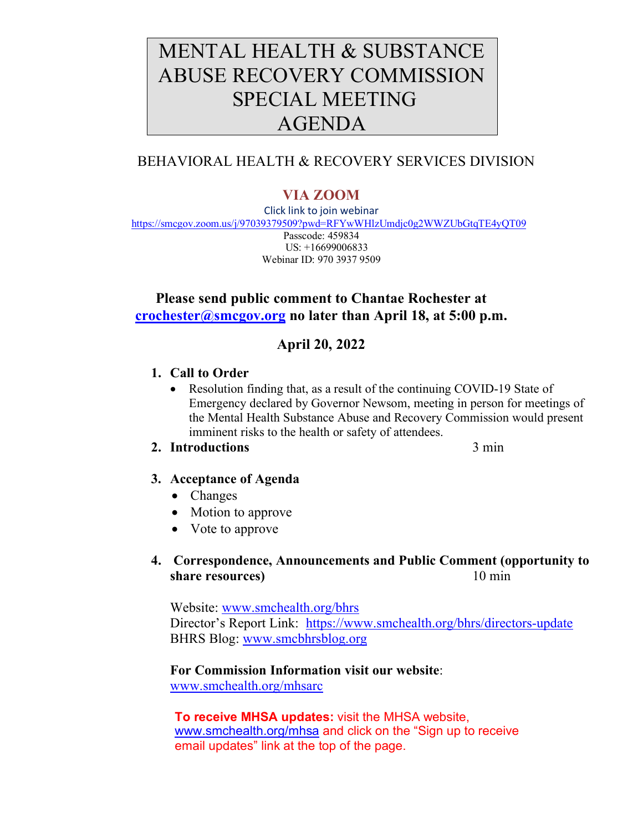# MENTAL HEALTH & SUBSTANCE ABUSE RECOVERY COMMISSION SPECIAL MEETING AGENDA

## BEHAVIORAL HEALTH & RECOVERY SERVICES DIVISION

# **VIA ZOOM**

Click link to join webinar <https://smcgov.zoom.us/j/97039379509?pwd=RFYwWHlzUmdjc0g2WWZUbGtqTE4yQT09> Passcode: 459834 US: +16699006833 Webinar ID: 970 3937 9509

## **Please send public comment to Chantae Rochester at [crochester@smcgov.org](mailto:crochester@smcgov.org) no later than April 18, at 5:00 p.m.**

## **April 20, 2022**

## **1. Call to Order**

Resolution finding that, as a result of the continuing COVID-19 State of Emergency declared by Governor Newsom, meeting in person for meetings of the Mental Health Substance Abuse and Recovery Commission would present imminent risks to the health or safety of attendees.

#### 2. **Introductions** 3 min

- **3. Acceptance of Agenda**
	- Changes
	- Motion to approve
	- Vote to approve

## **4. Correspondence, Announcements and Public Comment (opportunity to share resources**) 10 min

Website: [www.smchealth.org/bhrs](http://www.smchealth.org/bhrs) Director's Report Link: <https://www.smchealth.org/bhrs/directors-update> BHRS Blog: [www.smcbhrsblog.org](http://www.smcbhrsblog.org/)

#### **For Commission Information visit our website**:

[www.smchealth.org/mhsarc](http://www.smchealth.org/mhsarc)

**To receive MHSA updates:** visit the MHSA website, [www.smchealth.org/mhsa](http://www.smchealth.org/mhsa) and click on the "Sign up to receive email updates" link at the top of the page.